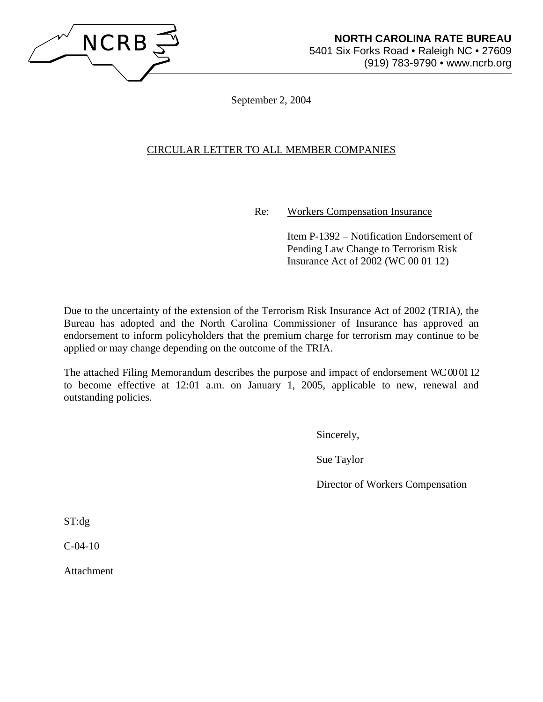

September 2, 2004

# CIRCULAR LETTER TO ALL MEMBER COMPANIES

Re: Workers Compensation Insurance

 Item P-1392 – Notification Endorsement of Pending Law Change to Terrorism Risk Insurance Act of 2002 (WC 00 01 12)

Due to the uncertainty of the extension of the Terrorism Risk Insurance Act of 2002 (TRIA), the Bureau has adopted and the North Carolina Commissioner of Insurance has approved an endorsement to inform policyholders that the premium charge for terrorism may continue to be applied or may change depending on the outcome of the TRIA.

The attached Filing Memorandum describes the purpose and impact of endorsement WC 000112 to become effective at 12:01 a.m. on January 1, 2005, applicable to new, renewal and outstanding policies.

Sincerely,

Sue Taylor

Director of Workers Compensation

ST:dg

 $C-04-10$ 

Attachment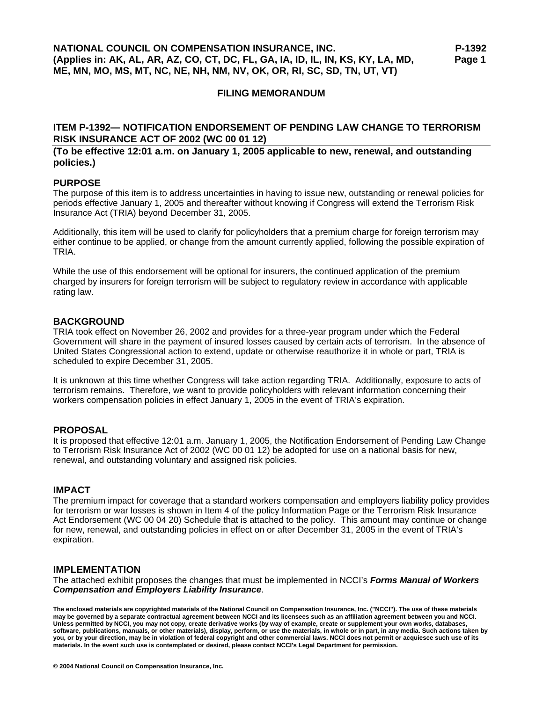### **FILING MEMORANDUM**

### **ITEM P-1392— NOTIFICATION ENDORSEMENT OF PENDING LAW CHANGE TO TERRORISM RISK INSURANCE ACT OF 2002 (WC 00 01 12)**

### **(To be effective 12:01 a.m. on January 1, 2005 applicable to new, renewal, and outstanding policies.)**

#### **PURPOSE**

The purpose of this item is to address uncertainties in having to issue new, outstanding or renewal policies for periods effective January 1, 2005 and thereafter without knowing if Congress will extend the Terrorism Risk Insurance Act (TRIA) beyond December 31, 2005.

Additionally, this item will be used to clarify for policyholders that a premium charge for foreign terrorism may either continue to be applied, or change from the amount currently applied, following the possible expiration of TRIA.

While the use of this endorsement will be optional for insurers, the continued application of the premium charged by insurers for foreign terrorism will be subject to regulatory review in accordance with applicable rating law.

### **BACKGROUND**

TRIA took effect on November 26, 2002 and provides for a three-year program under which the Federal Government will share in the payment of insured losses caused by certain acts of terrorism. In the absence of United States Congressional action to extend, update or otherwise reauthorize it in whole or part, TRIA is scheduled to expire December 31, 2005.

It is unknown at this time whether Congress will take action regarding TRIA. Additionally, exposure to acts of terrorism remains. Therefore, we want to provide policyholders with relevant information concerning their workers compensation policies in effect January 1, 2005 in the event of TRIA's expiration.

### **PROPOSAL**

It is proposed that effective 12:01 a.m. January 1, 2005, the Notification Endorsement of Pending Law Change to Terrorism Risk Insurance Act of 2002 (WC 00 01 12) be adopted for use on a national basis for new, renewal, and outstanding voluntary and assigned risk policies.

#### **IMPACT**

The premium impact for coverage that a standard workers compensation and employers liability policy provides for terrorism or war losses is shown in Item 4 of the policy Information Page or the Terrorism Risk Insurance Act Endorsement (WC 00 04 20) Schedule that is attached to the policy. This amount may continue or change for new, renewal, and outstanding policies in effect on or after December 31, 2005 in the event of TRIA's expiration.

### **IMPLEMENTATION**

The attached exhibit proposes the changes that must be implemented in NCCI's *Forms Manual of Workers Compensation and Employers Liability Insurance*.

**The enclosed materials are copyrighted materials of the National Council on Compensation Insurance, Inc. ("NCCI"). The use of these materials may be governed by a separate contractual agreement between NCCI and its licensees such as an affiliation agreement between you and NCCI. Unless permitted by NCCI, you may not copy, create derivative works (by way of example, create or supplement your own works, databases, software, publications, manuals, or other materials), display, perform, or use the materials, in whole or in part, in any media. Such actions taken by you, or by your direction, may be in violation of federal copyright and other commercial laws. NCCI does not permit or acquiesce such use of its materials. In the event such use is contemplated or desired, please contact NCCI's Legal Department for permission.**